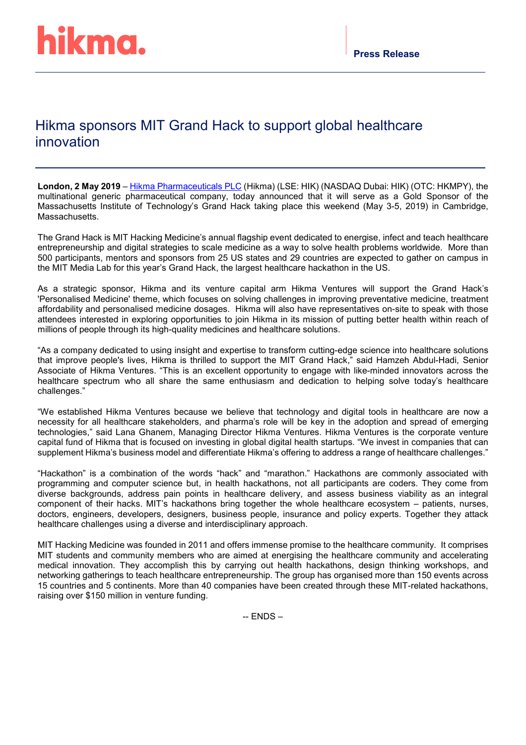# Hikma sponsors MIT Grand Hack to support global healthcare innovation

**London, 2 May 2019** – [Hikma Pharmaceuticals PLC](https://www.hikma.com/home/) (Hikma) (LSE: HIK) (NASDAQ Dubai: HIK) (OTC: HKMPY), the multinational generic pharmaceutical company, today announced that it will serve as a Gold Sponsor of the Massachusetts Institute of Technology's Grand Hack taking place this weekend (May 3-5, 2019) in Cambridge, Massachusetts.

The Grand Hack is MIT Hacking Medicine's annual flagship event dedicated to energise, infect and teach healthcare entrepreneurship and digital strategies to scale medicine as a way to solve health problems worldwide. More than 500 participants, mentors and sponsors from 25 US states and 29 countries are expected to gather on campus in the MIT Media Lab for this year's Grand Hack, the largest healthcare hackathon in the US.

As a strategic sponsor, Hikma and its venture capital arm Hikma Ventures will support the Grand Hack's 'Personalised Medicine' theme, which focuses on solving challenges in improving preventative medicine, treatment affordability and personalised medicine dosages. Hikma will also have representatives on-site to speak with those attendees interested in exploring opportunities to join Hikma in its mission of putting better health within reach of millions of people through its high-quality medicines and healthcare solutions.

"As a company dedicated to using insight and expertise to transform cutting-edge science into healthcare solutions that improve people's lives, Hikma is thrilled to support the MIT Grand Hack," said Hamzeh Abdul-Hadi, Senior Associate of Hikma Ventures. "This is an excellent opportunity to engage with like-minded innovators across the healthcare spectrum who all share the same enthusiasm and dedication to helping solve today's healthcare challenges."

"We established Hikma Ventures because we believe that technology and digital tools in healthcare are now a necessity for all healthcare stakeholders, and pharma's role will be key in the adoption and spread of emerging technologies," said Lana Ghanem, Managing Director Hikma Ventures. Hikma Ventures is the corporate venture capital fund of Hikma that is focused on investing in global digital health startups. "We invest in companies that can supplement Hikma's business model and differentiate Hikma's offering to address a range of healthcare challenges."

"Hackathon" is a combination of the words "hack" and "marathon." Hackathons are commonly associated with programming and computer science but, in health hackathons, not all participants are coders. They come from diverse backgrounds, address pain points in healthcare delivery, and assess business viability as an integral component of their hacks. MIT's hackathons bring together the whole healthcare ecosystem – patients, nurses, doctors, engineers, developers, designers, business people, insurance and policy experts. Together they attack healthcare challenges using a diverse and interdisciplinary approach.

MIT Hacking Medicine was founded in 2011 and offers immense promise to the healthcare community. It comprises MIT students and community members who are aimed at energising the healthcare community and accelerating medical innovation. They accomplish this by carrying out health hackathons, design thinking workshops, and networking gatherings to teach healthcare entrepreneurship. The group has organised more than 150 events across 15 countries and 5 continents. More than 40 companies have been created through these MIT-related hackathons, raising over \$150 million in venture funding.

 $-$  ENDS  $-$